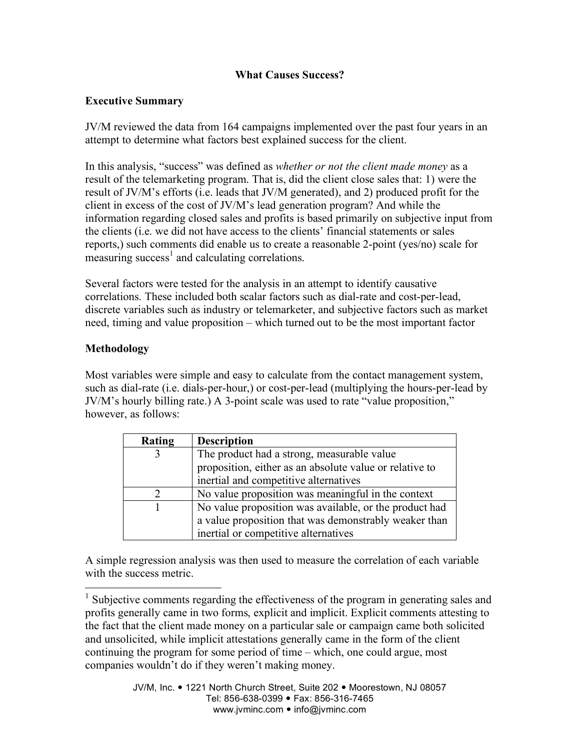# **What Causes Success?**

### **Executive Summary**

JV/M reviewed the data from 164 campaigns implemented over the past four years in an attempt to determine what factors best explained success for the client.

In this analysis, "success" was defined as *whether or not the client made money* as a result of the telemarketing program. That is, did the client close sales that: 1) were the result of JV/M's efforts (i.e. leads that JV/M generated), and 2) produced profit for the client in excess of the cost of JV/M's lead generation program? And while the information regarding closed sales and profits is based primarily on subjective input from the clients (i.e. we did not have access to the clients' financial statements or sales reports,) such comments did enable us to create a reasonable 2-point (yes/no) scale for measuring success<sup>1</sup> and calculating correlations.

Several factors were tested for the analysis in an attempt to identify causative correlations. These included both scalar factors such as dial-rate and cost-per-lead, discrete variables such as industry or telemarketer, and subjective factors such as market need, timing and value proposition – which turned out to be the most important factor

# **Methodology**

Most variables were simple and easy to calculate from the contact management system, such as dial-rate (i.e. dials-per-hour,) or cost-per-lead (multiplying the hours-per-lead by JV/M's hourly billing rate.) A 3-point scale was used to rate "value proposition," however, as follows:

| Rating | <b>Description</b>                                      |
|--------|---------------------------------------------------------|
|        | The product had a strong, measurable value              |
|        | proposition, either as an absolute value or relative to |
|        | inertial and competitive alternatives                   |
|        | No value proposition was meaningful in the context      |
|        | No value proposition was available, or the product had  |
|        | a value proposition that was demonstrably weaker than   |
|        | inertial or competitive alternatives                    |

A simple regression analysis was then used to measure the correlation of each variable with the success metric.

<sup>&</sup>lt;sup>1</sup> Subjective comments regarding the effectiveness of the program in generating sales and profits generally came in two forms, explicit and implicit. Explicit comments attesting to the fact that the client made money on a particular sale or campaign came both solicited and unsolicited, while implicit attestations generally came in the form of the client continuing the program for some period of time – which, one could argue, most companies wouldn't do if they weren't making money.